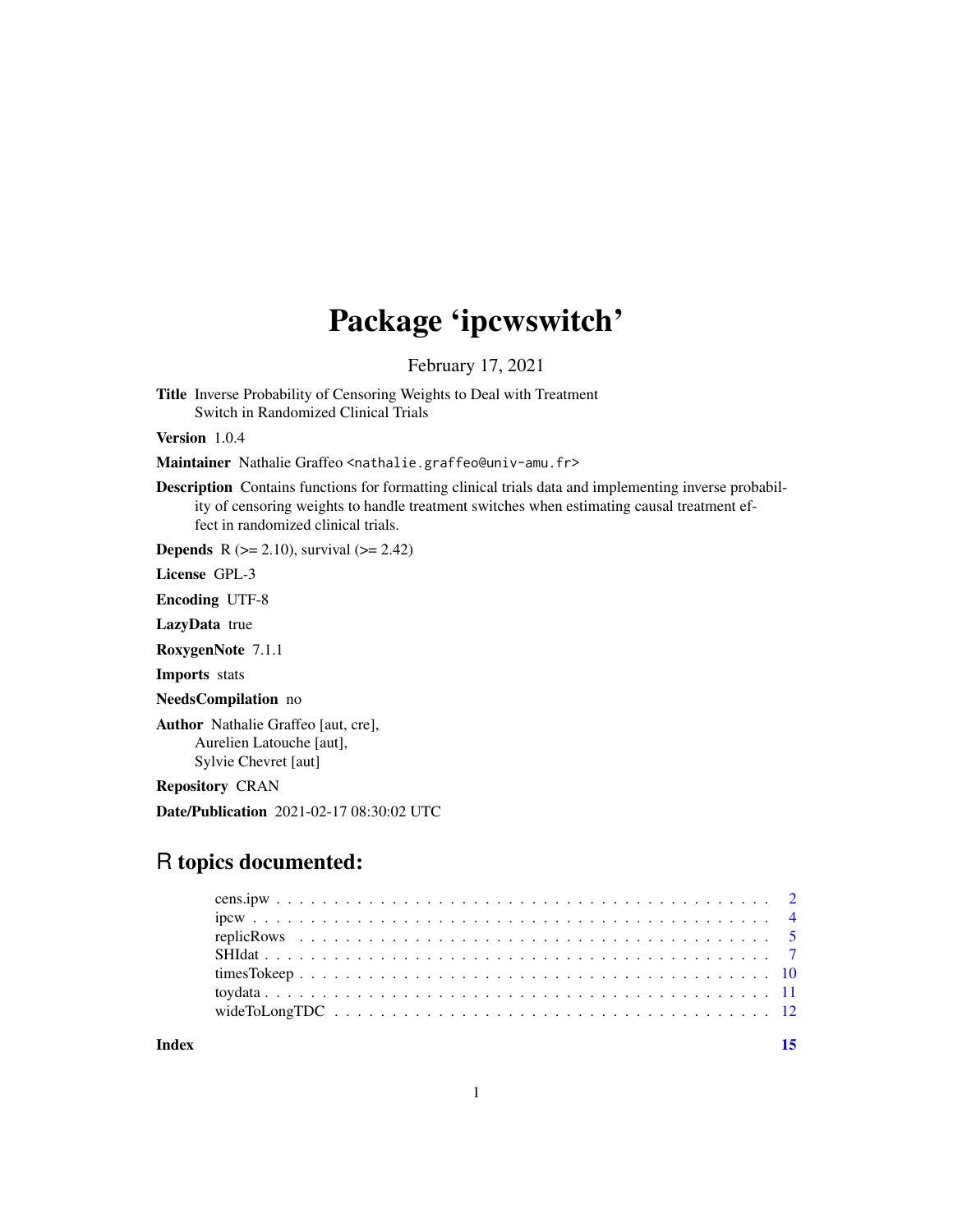## Package 'ipcwswitch'

February 17, 2021

Title Inverse Probability of Censoring Weights to Deal with Treatment Switch in Randomized Clinical Trials

Version 1.0.4

Maintainer Nathalie Graffeo <nathalie.graffeo@univ-amu.fr>

Description Contains functions for formatting clinical trials data and implementing inverse probability of censoring weights to handle treatment switches when estimating causal treatment effect in randomized clinical trials.

**Depends** R ( $>= 2.10$ ), survival ( $>= 2.42$ )

License GPL-3

Encoding UTF-8

LazyData true

RoxygenNote 7.1.1

Imports stats

NeedsCompilation no

Author Nathalie Graffeo [aut, cre], Aurelien Latouche [aut], Sylvie Chevret [aut]

Repository CRAN

Date/Publication 2021-02-17 08:30:02 UTC

### R topics documented:

**Index** [15](#page-14-0)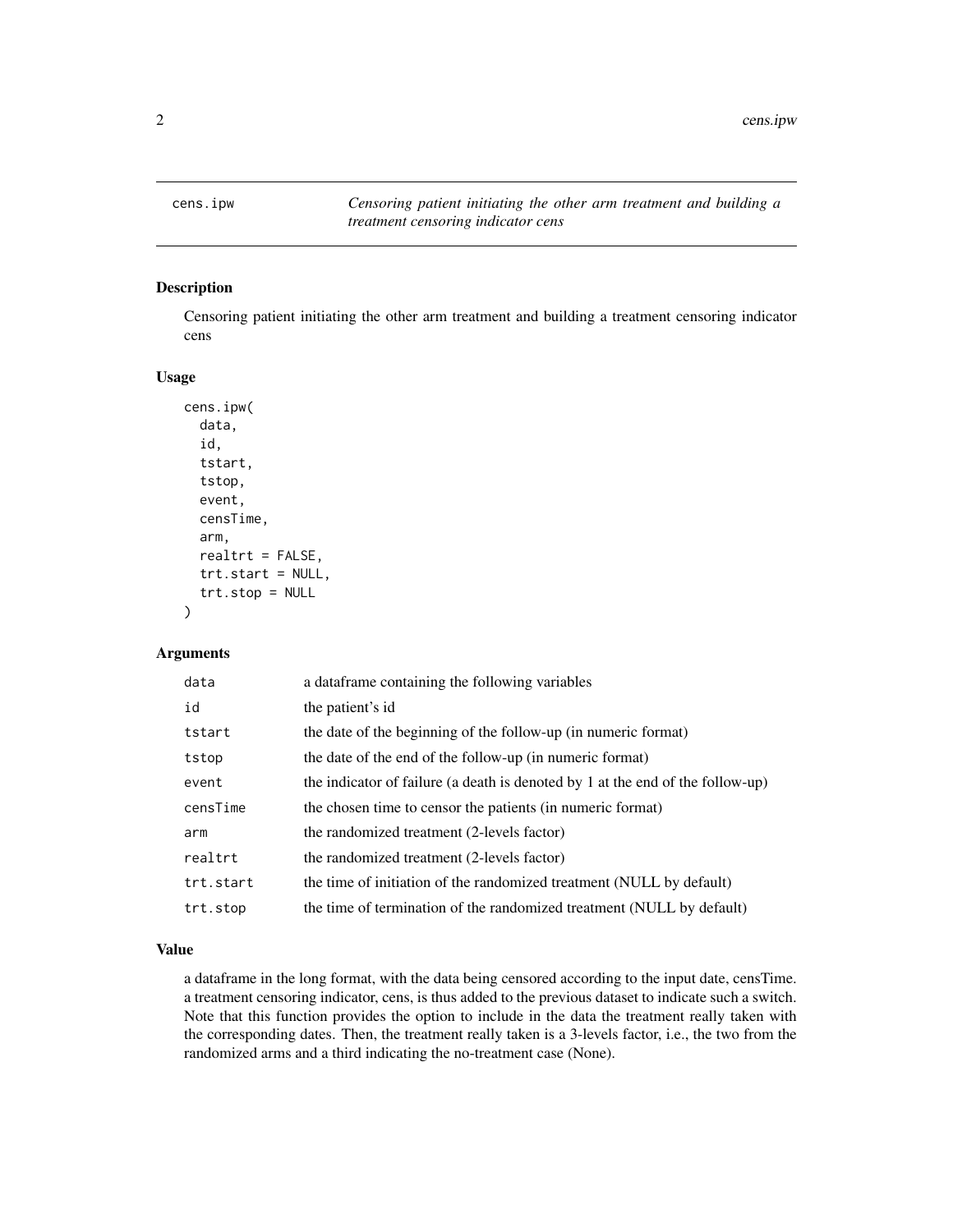<span id="page-1-0"></span>2 cens.ipw

<span id="page-1-1"></span>cens.ipw *Censoring patient initiating the other arm treatment and building a treatment censoring indicator cens*

#### Description

Censoring patient initiating the other arm treatment and building a treatment censoring indicator cens

#### Usage

```
cens.ipw(
  data,
  id,
  tstart,
  tstop,
  event,
  censTime,
  arm,
  realtrt = FALSE,
  trt.start = NULL,
  trt.stop = NULL
)
```
#### Arguments

| data      | a dataframe containing the following variables                                 |
|-----------|--------------------------------------------------------------------------------|
| id        | the patient's id                                                               |
| tstart    | the date of the beginning of the follow-up (in numeric format)                 |
| tstop     | the date of the end of the follow-up (in numeric format)                       |
| event     | the indicator of failure (a death is denoted by 1 at the end of the follow-up) |
| censTime  | the chosen time to censor the patients (in numeric format)                     |
| arm       | the randomized treatment (2-levels factor)                                     |
| realtrt   | the randomized treatment (2-levels factor)                                     |
| trt.start | the time of initiation of the randomized treatment (NULL by default)           |
| trt.stop  | the time of termination of the randomized treatment (NULL by default)          |

#### Value

a dataframe in the long format, with the data being censored according to the input date, censTime. a treatment censoring indicator, cens, is thus added to the previous dataset to indicate such a switch. Note that this function provides the option to include in the data the treatment really taken with the corresponding dates. Then, the treatment really taken is a 3-levels factor, i.e., the two from the randomized arms and a third indicating the no-treatment case (None).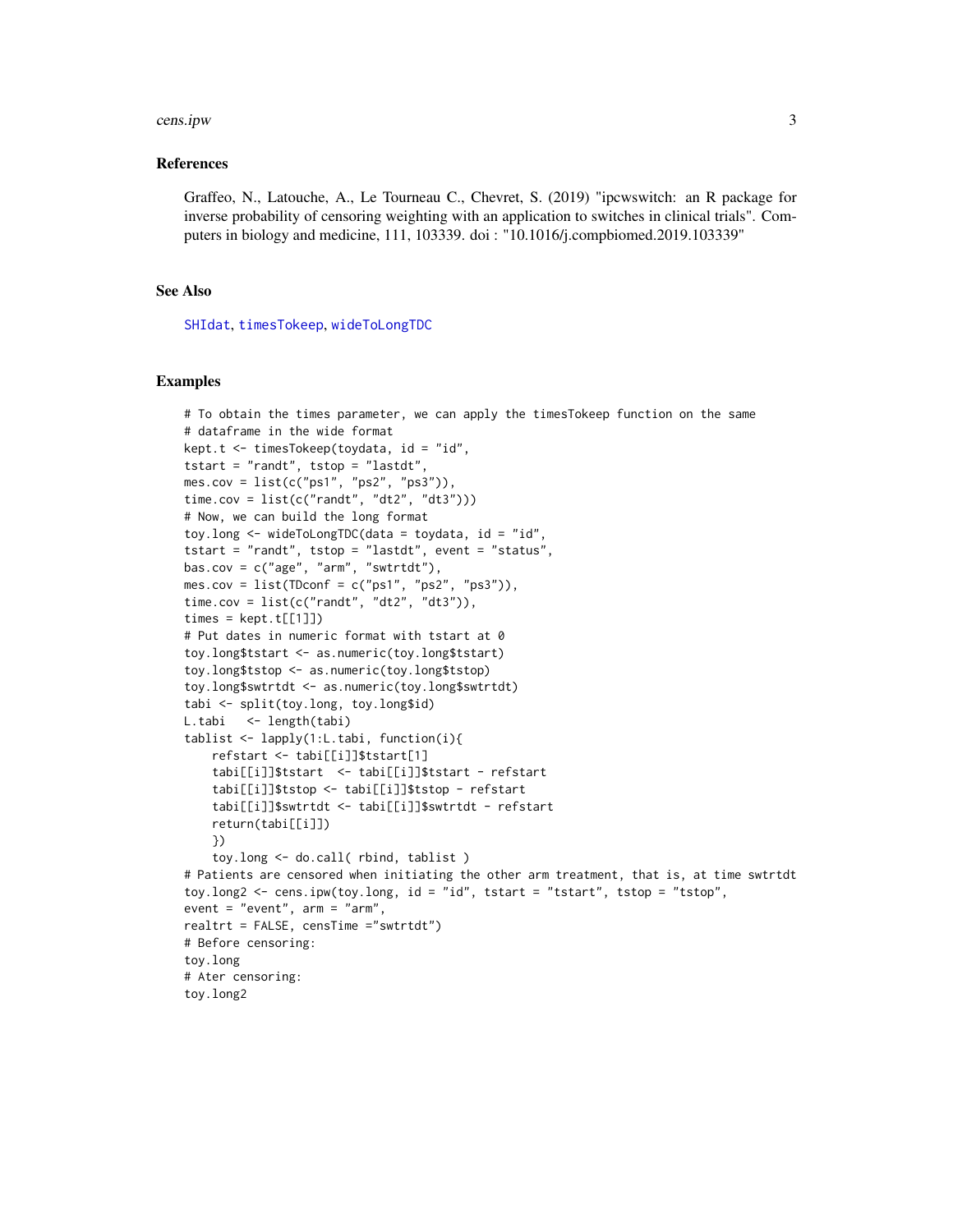#### <span id="page-2-0"></span>cens.ipw 3

#### References

Graffeo, N., Latouche, A., Le Tourneau C., Chevret, S. (2019) "ipcwswitch: an R package for inverse probability of censoring weighting with an application to switches in clinical trials". Computers in biology and medicine, 111, 103339. doi : "10.1016/j.compbiomed.2019.103339"

#### See Also

[SHIdat](#page-6-1), [timesTokeep](#page-9-1), [wideToLongTDC](#page-11-1)

```
# To obtain the times parameter, we can apply the timesTokeep function on the same
# dataframe in the wide format
kept.t \le timesTokeep(toydata, id = "id",
tstart = "randt", tstop = "lastdt",
mes.cov = list(c("ps1", "ps2", "ps3")),
time.cov = list(c("randt", "dt2", "dt3")))
# Now, we can build the long format
toy.long \leq wideToLongTDC(data = toydata, id = "id",
tstart = "randt", tstop = "lastdt", event = "status",
bas.cov = c("age", "arm", "swtrtdt"),
mes.cov = list(TDconf = c("ps1", "ps2", "ps3")),
time.cov = list(c("randt", "dt2", "dt3")),
times = kept.t[[1]]# Put dates in numeric format with tstart at 0
toy.long$tstart <- as.numeric(toy.long$tstart)
toy.long$tstop <- as.numeric(toy.long$tstop)
toy.long$swtrtdt <- as.numeric(toy.long$swtrtdt)
tabi <- split(toy.long, toy.long$id)
L.tabi <- length(tabi)
tablist <- lapply(1:L.tabi, function(i){
    refstart <- tabi[[i]]$tstart[1]
    tabi[[i]]$tstart <- tabi[[i]]$tstart - refstart
    tabi[[i]]$tstop <- tabi[[i]]$tstop - refstart
    tabi[[i]]$swtrtdt <- tabi[[i]]$swtrtdt - refstart
   return(tabi[[i]])
    })
    toy.long <- do.call( rbind, tablist )
# Patients are censored when initiating the other arm treatment, that is, at time swtrtdt
toy.long2 <- cens.ipw(toy.long, id = "id", tstart = "tstart", tstop = "tstop",
event = "event", arm = "arm",realtrt = FALSE, censTime ="swtrtdt")
# Before censoring:
toy.long
# Ater censoring:
toy.long2
```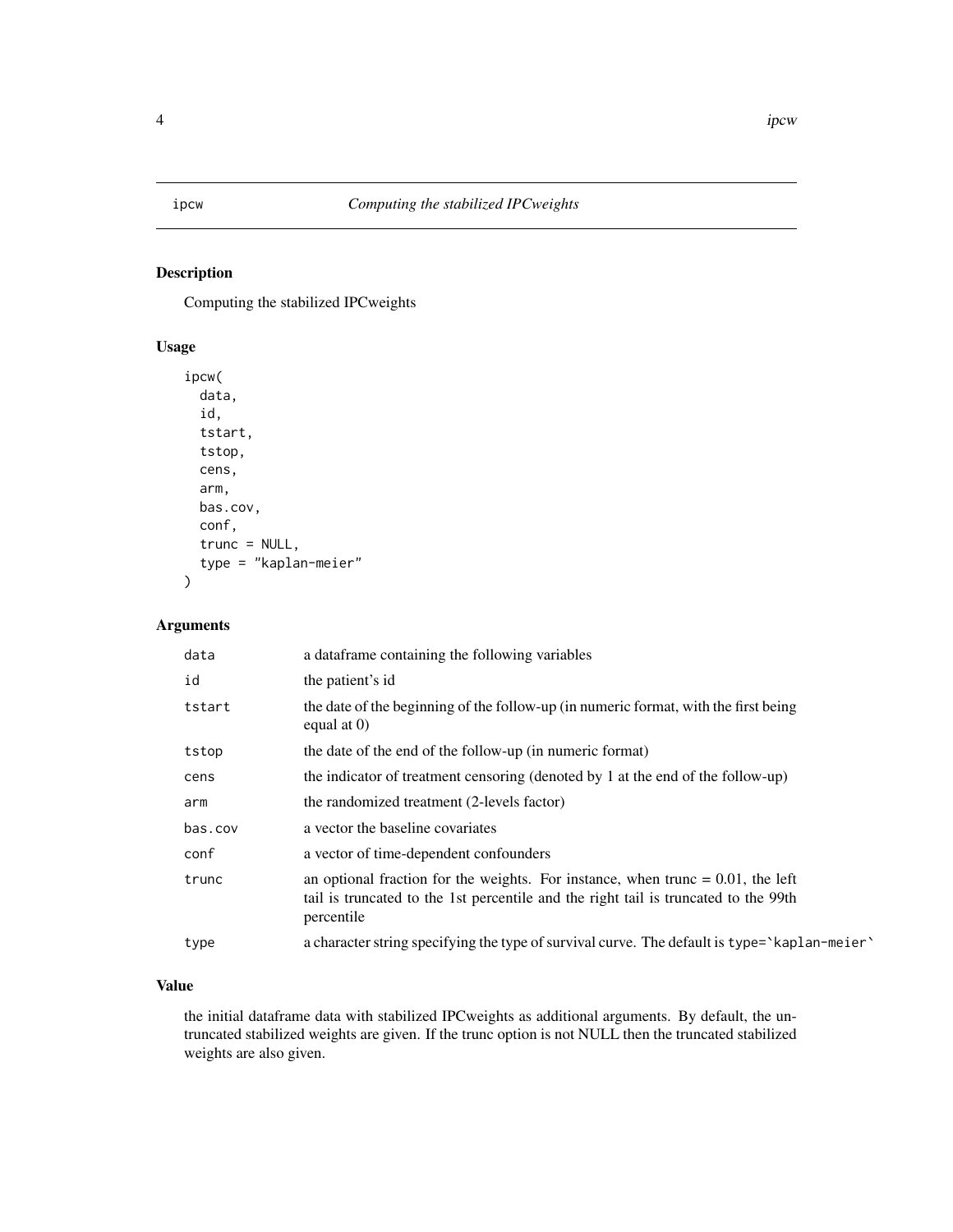<span id="page-3-1"></span><span id="page-3-0"></span>

#### Description

Computing the stabilized IPCweights

#### Usage

```
ipcw(
  data,
  id,
  tstart,
  tstop,
  cens,
  arm,
  bas.cov,
  conf,
  trunc = NULL,
  type = "kaplan-meier"
\mathcal{L}
```
#### Arguments

| data    | a data frame containing the following variables                                                                                                                                         |
|---------|-----------------------------------------------------------------------------------------------------------------------------------------------------------------------------------------|
| id      | the patient's id                                                                                                                                                                        |
| tstart  | the date of the beginning of the follow-up (in numeric format, with the first being<br>equal at $0$ )                                                                                   |
| tstop   | the date of the end of the follow-up (in numeric format)                                                                                                                                |
| cens    | the indicator of treatment censoring (denoted by 1 at the end of the follow-up)                                                                                                         |
| arm     | the randomized treatment (2-levels factor)                                                                                                                                              |
| bas.cov | a vector the baseline covariates                                                                                                                                                        |
| conf    | a vector of time-dependent confounders                                                                                                                                                  |
| trunc   | an optional fraction for the weights. For instance, when trunc $= 0.01$ , the left<br>tail is truncated to the 1st percentile and the right tail is truncated to the 99th<br>percentile |
| type    | a character string specifying the type of survival curve. The default is type='kaplan-meier'                                                                                            |

#### Value

the initial dataframe data with stabilized IPCweights as additional arguments. By default, the untruncated stabilized weights are given. If the trunc option is not NULL then the truncated stabilized weights are also given.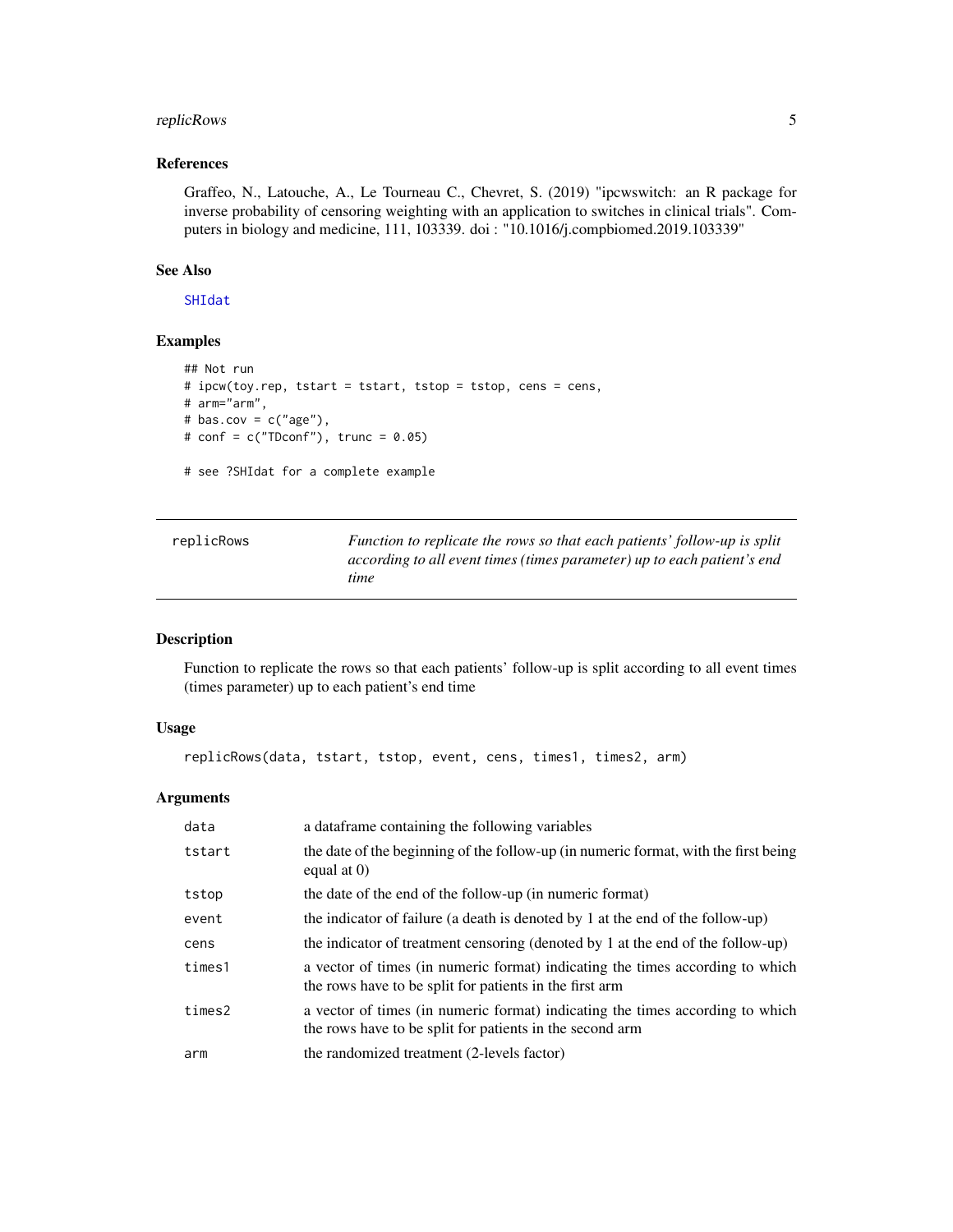#### <span id="page-4-0"></span>replicRows 5

#### References

Graffeo, N., Latouche, A., Le Tourneau C., Chevret, S. (2019) "ipcwswitch: an R package for inverse probability of censoring weighting with an application to switches in clinical trials". Computers in biology and medicine, 111, 103339. doi : "10.1016/j.compbiomed.2019.103339"

#### See Also

[SHIdat](#page-6-1)

#### Examples

```
## Not run
# ipcw(toy.rep, tstart = tstart, tstop = tstop, cens = cens,
# arm="arm",
# bas.cov = c("age"),
# conf = c("TDconf"), trunc = 0.05)# see ?SHIdat for a complete example
```
<span id="page-4-1"></span>

| replicRows | Function to replicate the rows so that each patients' follow-up is split |
|------------|--------------------------------------------------------------------------|
|            | according to all event times (times parameter) up to each patient's end  |
|            | time                                                                     |

#### Description

Function to replicate the rows so that each patients' follow-up is split according to all event times (times parameter) up to each patient's end time

#### Usage

```
replicRows(data, tstart, tstop, event, cens, times1, times2, arm)
```
#### Arguments

| data   | a data frame containing the following variables                                                                                           |
|--------|-------------------------------------------------------------------------------------------------------------------------------------------|
| tstart | the date of the beginning of the follow-up (in numeric format, with the first being<br>equal at $(0)$                                     |
| tstop  | the date of the end of the follow-up (in numeric format)                                                                                  |
| event  | the indicator of failure (a death is denoted by 1 at the end of the follow-up)                                                            |
| cens   | the indicator of treatment censoring (denoted by 1 at the end of the follow-up)                                                           |
| times1 | a vector of times (in numeric format) indicating the times according to which<br>the rows have to be split for patients in the first arm  |
| times2 | a vector of times (in numeric format) indicating the times according to which<br>the rows have to be split for patients in the second arm |
| arm    | the randomized treatment (2-levels factor)                                                                                                |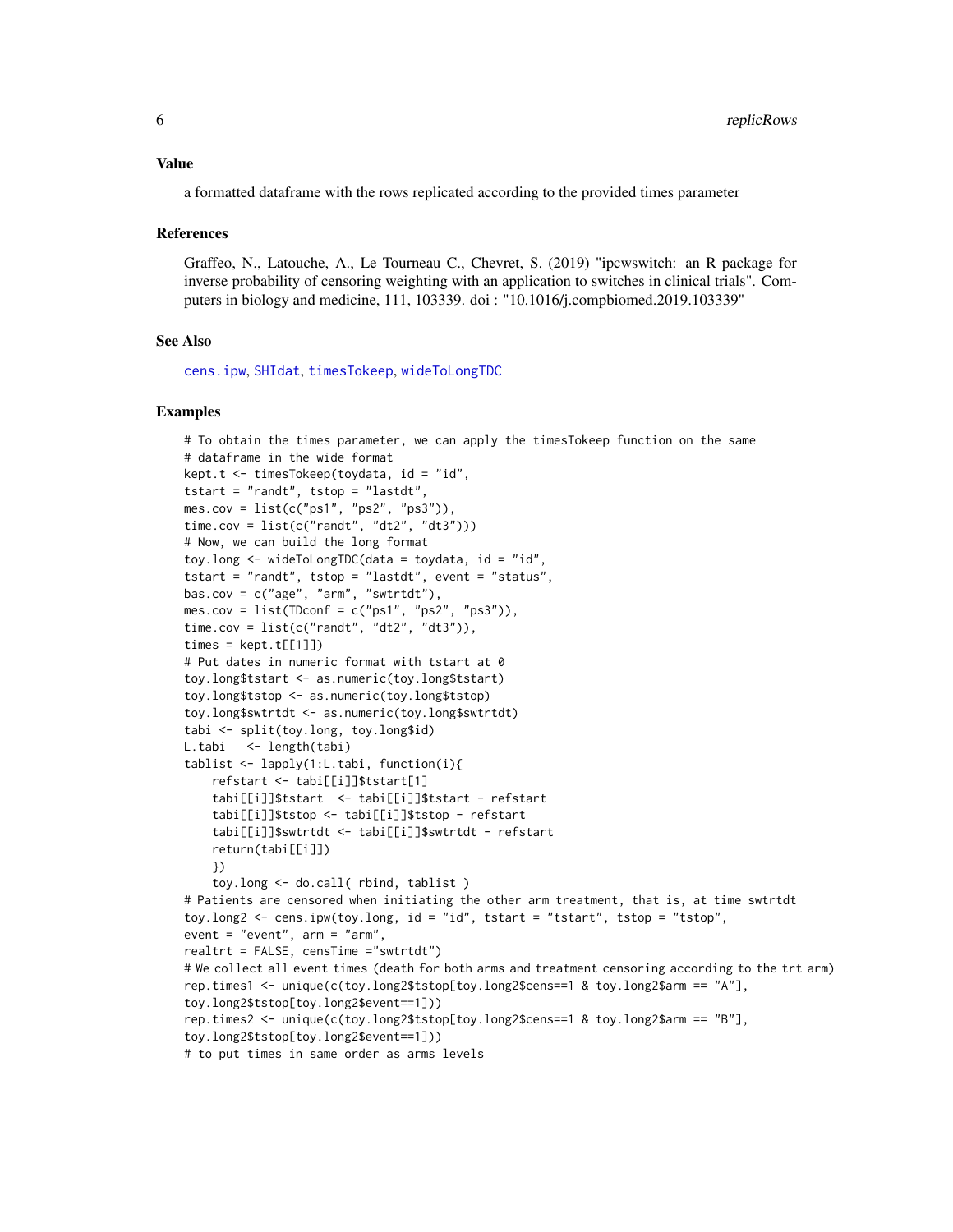#### <span id="page-5-0"></span>Value

a formatted dataframe with the rows replicated according to the provided times parameter

#### References

Graffeo, N., Latouche, A., Le Tourneau C., Chevret, S. (2019) "ipcwswitch: an R package for inverse probability of censoring weighting with an application to switches in clinical trials". Computers in biology and medicine, 111, 103339. doi : "10.1016/j.compbiomed.2019.103339"

#### See Also

[cens.ipw](#page-1-1), [SHIdat](#page-6-1), [timesTokeep](#page-9-1), [wideToLongTDC](#page-11-1)

```
# To obtain the times parameter, we can apply the timesTokeep function on the same
# dataframe in the wide format
kept.t \le timesTokeep(toydata, id = "id",
tstart = "randt", tstop = "lastdt",
mes.cov = list(c("ps1", "ps2", "ps3")),
time.cov = list(c("randt", "dt2", "dt3"))# Now, we can build the long format
toy.long \leq wideToLongTDC(data = toydata, id = "id",
tstart = "randt", tstop = "lastdt", event = "status",
bas.cov = c("age", "arm", "swtrtdt"),
mes.cov = list(TDconf = c("ps1", "ps2", "ps3")),
time.cov = list(c("randt", "dt2", "dt3")),
times = kept.t[[1]]# Put dates in numeric format with tstart at 0
toy.long$tstart <- as.numeric(toy.long$tstart)
toy.long$tstop <- as.numeric(toy.long$tstop)
toy.long$swtrtdt <- as.numeric(toy.long$swtrtdt)
tabi <- split(toy.long, toy.long$id)
L.tabi <- length(tabi)
tablist <- lapply(1:L.tabi, function(i){
    refstart <- tabi[[i]]$tstart[1]
    tabi[[i]]$tstart <- tabi[[i]]$tstart - refstart
    tabi[[i]]$tstop <- tabi[[i]]$tstop - refstart
    tabi[[i]]$swtrtdt <- tabi[[i]]$swtrtdt - refstart
    return(tabi[[i]])
    })
    toy.long <- do.call( rbind, tablist )
# Patients are censored when initiating the other arm treatment, that is, at time swtrtdt
toy.long2 <- cens.ipw(toy.long, id = "id", tstart = "tstart", tstop = "tstop",
event = "event", arm = "arm",
realtrt = FALSE, censTime ="swtrtdt")
# We collect all event times (death for both arms and treatment censoring according to the trt arm)
rep.times1 <- unique(c(toy.long2$tstop[toy.long2$cens==1 & toy.long2$arm == "A"],
toy.long2$tstop[toy.long2$event==1]))
rep.times2 <- unique(c(toy.long2$tstop[toy.long2$cens==1 & toy.long2$arm == "B"],
toy.long2$tstop[toy.long2$event==1]))
# to put times in same order as arms levels
```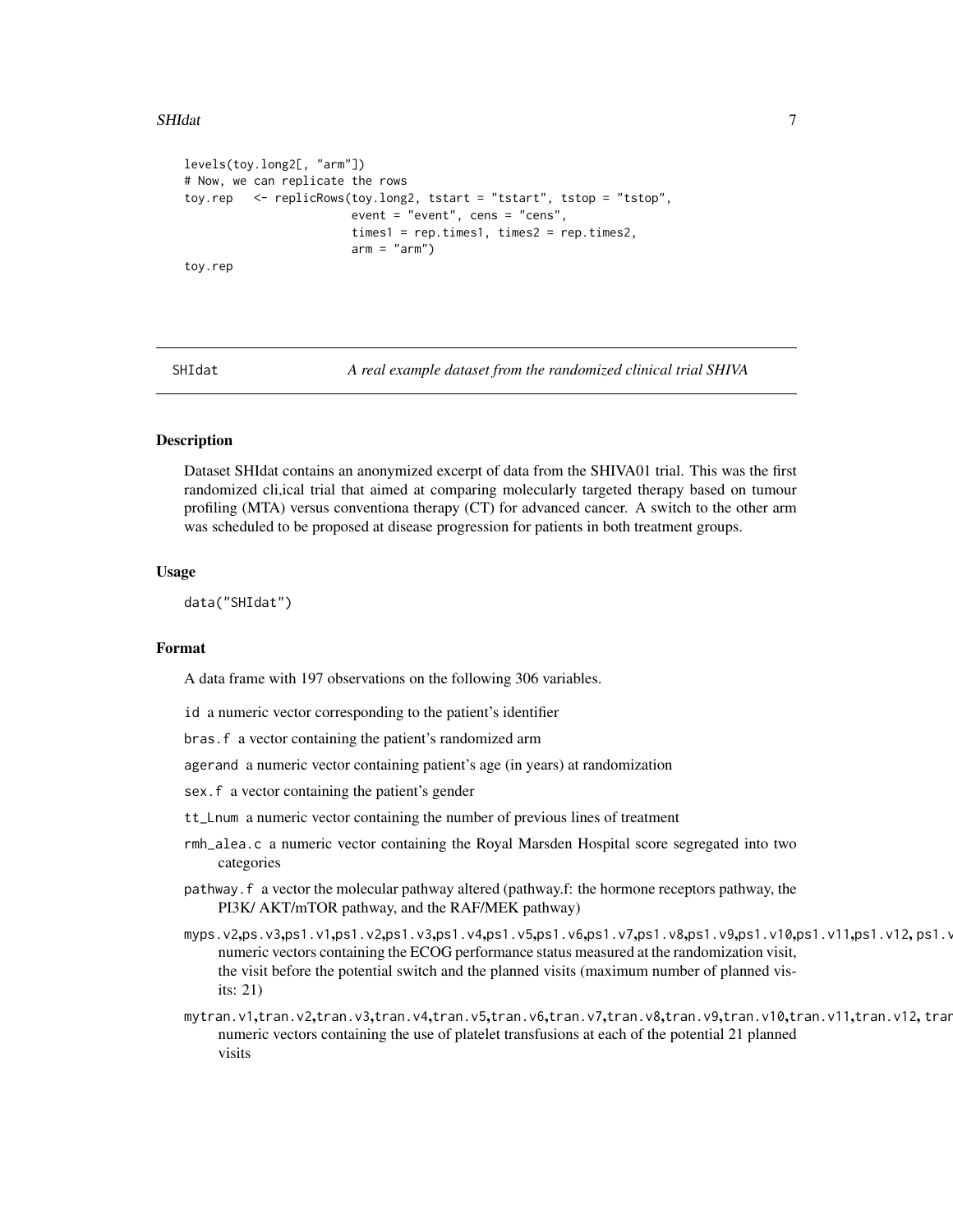#### <span id="page-6-0"></span>SHIdat 7 and 7 and 7 and 7 and 7 and 7 and 7 and 7 and 7 and 7 and 7 and 7 and 7 and 7 and 7 and 7 and 7 and 7

```
levels(toy.long2[, "arm"])
# Now, we can replicate the rows
toy.rep <- replicRows(toy.long2, tstart = "tstart", tstop = "tstop",
                        event = "event", cens = "cens",
                        times1 = rep.times1, times2 = rep.times2,
                        arm = "arm")toy.rep
```
<span id="page-6-1"></span>SHIdat *A real example dataset from the randomized clinical trial SHIVA*

#### Description

Dataset SHIdat contains an anonymized excerpt of data from the SHIVA01 trial. This was the first randomized cli,ical trial that aimed at comparing molecularly targeted therapy based on tumour profiling (MTA) versus conventiona therapy (CT) for advanced cancer. A switch to the other arm was scheduled to be proposed at disease progression for patients in both treatment groups.

#### Usage

data("SHIdat")

#### Format

A data frame with 197 observations on the following 306 variables.

id a numeric vector corresponding to the patient's identifier

bras.f a vector containing the patient's randomized arm

agerand a numeric vector containing patient's age (in years) at randomization

sex.f a vector containing the patient's gender

- tt\_Lnum a numeric vector containing the number of previous lines of treatment
- rmh\_alea.c a numeric vector containing the Royal Marsden Hospital score segregated into two categories
- pathway.f a vector the molecular pathway altered (pathway.f: the hormone receptors pathway, the PI3K/ AKT/mTOR pathway, and the RAF/MEK pathway)
- myps.v2,ps.v3,ps1.v1,ps1.v2,ps1.v3,ps1.v4,ps1.v5,ps1.v6,ps1.v7,ps1.v8,ps1.v9,ps1.v10,ps1.v11,ps1.v12, ps1.v13,ps1.v14,ps1.v15,ps1.v16,ps1.v17,ps1.v18,ps1.v19,ps1.v20, ps1.v21 numeric vectors containing the ECOG performance status measured at the randomization visit, the visit before the potential switch and the planned visits (maximum number of planned visits: 21)
- mytran.v1,tran.v2,tran.v3,tran.v4,tran.v5,tran.v6,tran.v7,tran.v8,tran.v9,tran.v10,tran.v11,tran.v12, tran.v13,tran.v14,tran.v15,tran.v16,tran.v17,tran.v18,tran.v19,tran.v20,tran.v21 numeric vectors containing the use of platelet transfusions at each of the potential 21 planned visits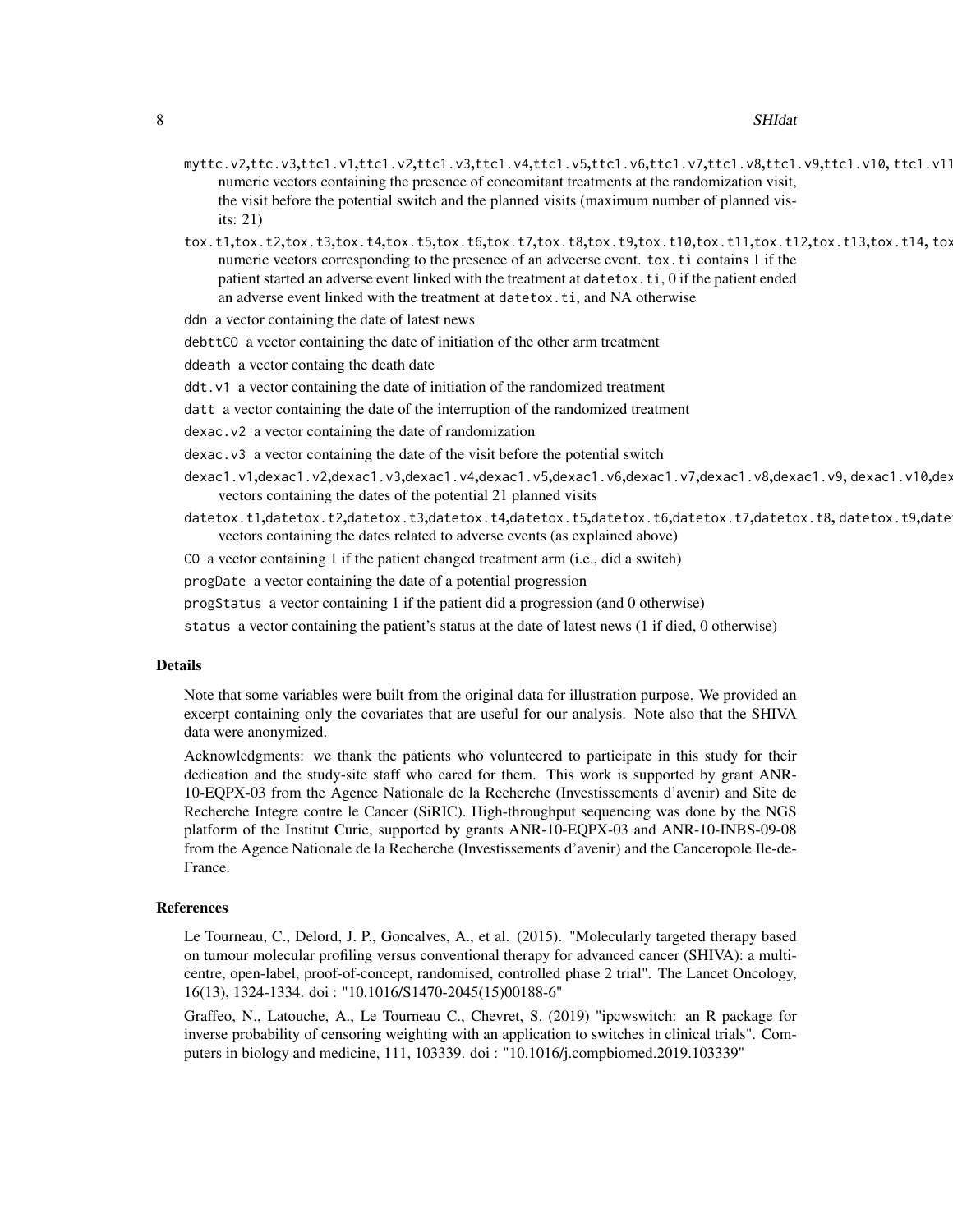- myttc.v2,ttc.v3,ttc1.v1,ttc1.v2,ttc1.v3,ttc1.v4,ttc1.v5,ttc1.v6,ttc1.v7,ttc1.v8,ttc1.v9,ttc1.v10,ttc1.v11 numeric vectors containing the presence of concomitant treatments at the randomization visit, the visit before the potential switch and the planned visits (maximum number of planned visits: 21)
- $\text{tox.t1,} \text{tox.t2,} \text{tox.t3,} \text{tox.t4,} \text{tox.t5,} \text{tox.t6,} \text{tox.t7,} \text{tox.t8,} \text{tox.t9,} \text{tox.t10,} \text{tox.t11,} \text{tox.t13,} \text{tox.t14,} \text{tox.t15,} \text{tox.t15,} \text{tox.t15,} \text{tox.t15,} \text{tox.t15,} \text{tox.t15,} \text{tox.t15,} \text{tox.t15,} \text{tox.t15,} \text{tox.t15,$ numeric vectors corresponding to the presence of an adveerse event. tox.ti contains 1 if the patient started an adverse event linked with the treatment at datetox.ti, 0 if the patient ended an adverse event linked with the treatment at datetox.ti, and NA otherwise
- ddn a vector containing the date of latest news
- debttCO a vector containing the date of initiation of the other arm treatment
- ddeath a vector containg the death date
- ddt.v1 a vector containing the date of initiation of the randomized treatment
- datt a vector containing the date of the interruption of the randomized treatment
- dexac.v2 a vector containing the date of randomization
- dexac.v3 a vector containing the date of the visit before the potential switch
- dexac1.v1,dexac1.v2,dexac1.v3,dexac1.v4,dexac1.v5,dexac1.v6,dexac1.v7,dexac1.v8,dexac1.v9, dexac1.v10,dex vectors containing the dates of the potential 21 planned visits
- datetox.t1,datetox.t2,datetox.t3,datetox.t4,datetox.t5,datetox.t6,datetox.t7,datetox.t8,datetox.t9,date vectors containing the dates related to adverse events (as explained above)
- CO a vector containing 1 if the patient changed treatment arm (i.e., did a switch)

progDate a vector containing the date of a potential progression

- progStatus a vector containing 1 if the patient did a progression (and 0 otherwise)
- status a vector containing the patient's status at the date of latest news (1 if died, 0 otherwise)

#### Details

Note that some variables were built from the original data for illustration purpose. We provided an excerpt containing only the covariates that are useful for our analysis. Note also that the SHIVA data were anonymized.

Acknowledgments: we thank the patients who volunteered to participate in this study for their dedication and the study-site staff who cared for them. This work is supported by grant ANR-10-EQPX-03 from the Agence Nationale de la Recherche (Investissements d'avenir) and Site de Recherche Integre contre le Cancer (SiRIC). High-throughput sequencing was done by the NGS platform of the Institut Curie, supported by grants ANR-10-EQPX-03 and ANR-10-INBS-09-08 from the Agence Nationale de la Recherche (Investissements d'avenir) and the Canceropole Ile-de-France.

#### References

Le Tourneau, C., Delord, J. P., Goncalves, A., et al. (2015). "Molecularly targeted therapy based on tumour molecular profiling versus conventional therapy for advanced cancer (SHIVA): a multicentre, open-label, proof-of-concept, randomised, controlled phase 2 trial". The Lancet Oncology, 16(13), 1324-1334. doi : "10.1016/S1470-2045(15)00188-6"

Graffeo, N., Latouche, A., Le Tourneau C., Chevret, S. (2019) "ipcwswitch: an R package for inverse probability of censoring weighting with an application to switches in clinical trials". Computers in biology and medicine, 111, 103339. doi : "10.1016/j.compbiomed.2019.103339"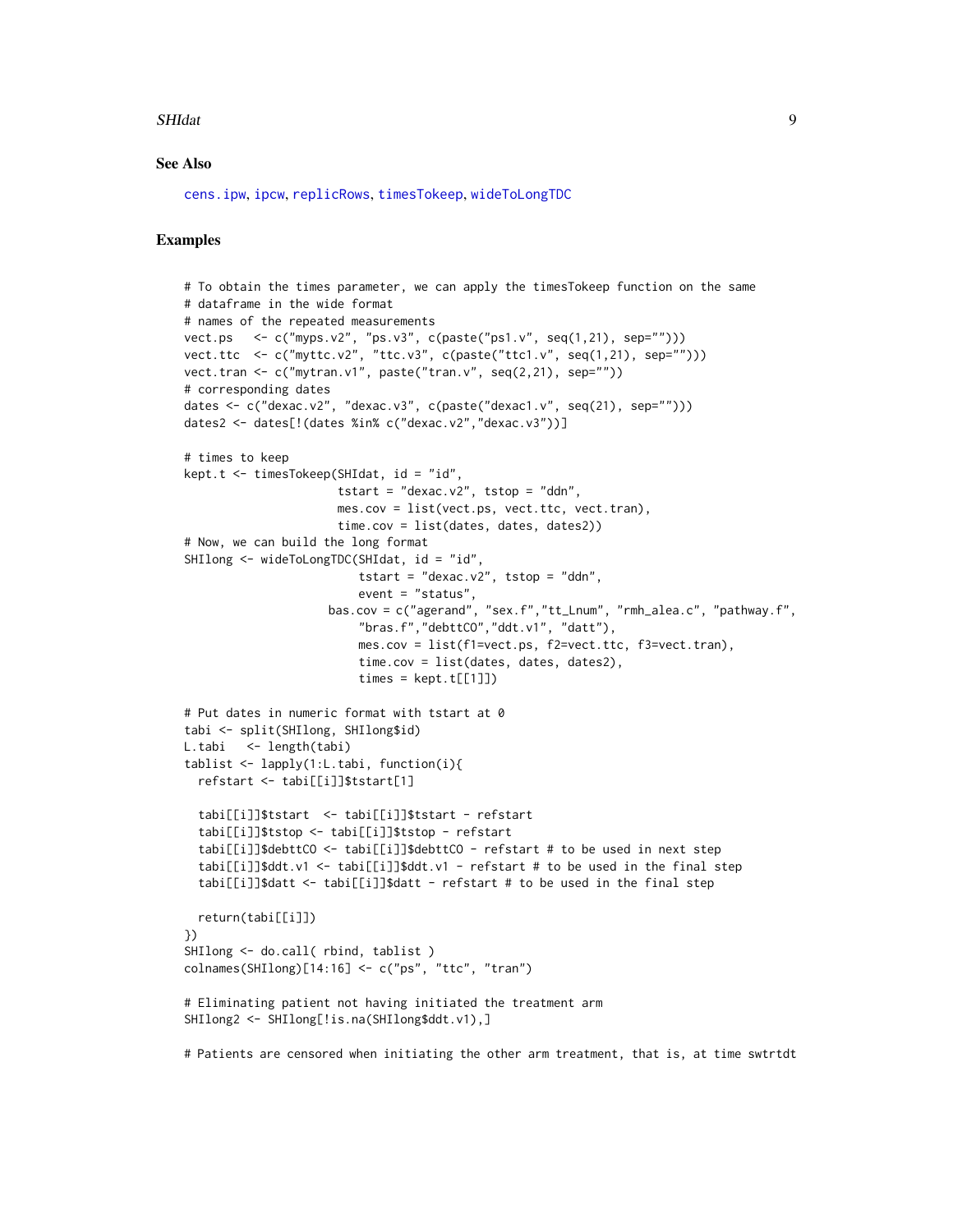#### <span id="page-8-0"></span>SHIdat 9

#### See Also

[cens.ipw](#page-1-1), [ipcw](#page-3-1), [replicRows](#page-4-1), [timesTokeep](#page-9-1), [wideToLongTDC](#page-11-1)

```
# To obtain the times parameter, we can apply the timesTokeep function on the same
# dataframe in the wide format
# names of the repeated measurements
vect.ps <- c("myps.v2", "ps.v3", c(paste("ps1.v", seq(1,21), sep="")))
vect.ttc <- c("myttc.v2", "ttc.v3", c(paste("ttc1.v", seq(1,21), sep="")))
vect.tran <- c("mytran.v1", paste("tran.v", seq(2,21), sep=""))
# corresponding dates
dates <- c("dexac.v2", "dexac.v3", c(paste("dexac1.v", seq(21), sep="")))
dates2 <- dates[!(dates %in% c("dexac.v2","dexac.v3"))]
# times to keep
kept.t <- timesTokeep(SHIdat, id = "id",
                      tstart = "dexac.v2", tstop = "ddn",
                      mes.cov = list(vect.ps, vect.ttc, vect.tran),
                      time.cov = list(dates, dates, dates2))
# Now, we can build the long format
SHIlong <- wideToLongTDC(SHIdat, id = "id",
                        tstart = "dexac.v2", tstop = "ddn",
                        event = "status",
                    bas.cov = c("agerand", "sex.f","tt_Lnum", "rmh_alea.c", "pathway.f",
                        "bras.f","debttCO","ddt.v1", "datt"),
                         mes.cov = list(f1=vect.ps, f2=vect.ttc, f3=vect.tran),
                         time.cov = list(dates, dates, dates2),
                        times = kept.t[[1]]# Put dates in numeric format with tstart at 0
tabi <- split(SHIlong, SHIlong$id)
L.tabi <- length(tabi)
tablist <- lapply(1:L.tabi, function(i){
  refstart <- tabi[[i]]$tstart[1]
  tabi[[i]]$tstart <- tabi[[i]]$tstart - refstart
  tabi[[i]]$tstop <- tabi[[i]]$tstop - refstart
  tabi[[i]]$debttCO <- tabi[[i]]$debttCO - refstart # to be used in next step
  tabi[[i]]$ddt.v1 <- tabi[[i]]$ddt.v1 - refstart # to be used in the final step
  tabi[[i]]$datt <- tabi[[i]]$datt - refstart # to be used in the final step
  return(tabi[[i]])
})
SHIlong <- do.call( rbind, tablist )
colnames(SHIlong)[14:16] <- c("ps", "ttc", "tran")
# Eliminating patient not having initiated the treatment arm
SHIlong2 <- SHIlong[!is.na(SHIlong$ddt.v1),]
# Patients are censored when initiating the other arm treatment, that is, at time swtrtdt
```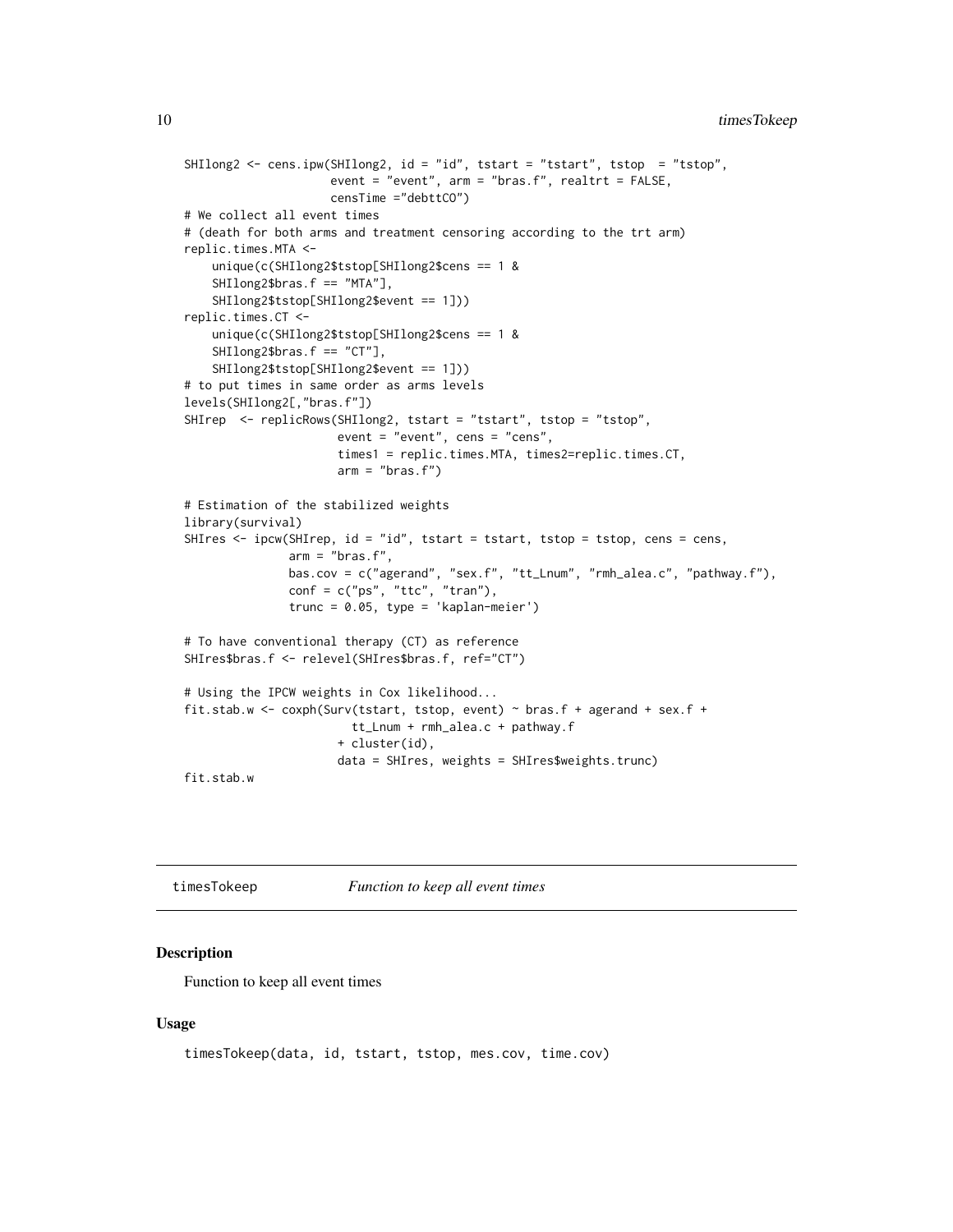```
SHIlong2 <- cens.ipw(SHIlong2, id = "id", tstart = "tstart", tstop = "tstop",
                    event = "event", arm = "bras.f", realtrt = FALSE,
                     censTime ="debttCO")
# We collect all event times
# (death for both arms and treatment censoring according to the trt arm)
replic.times.MTA <-
    unique(c(SHIlong2$tstop[SHIlong2$cens == 1 &
    SHIlong2$bras.f == "MTA"],
    SHIlong2$tstop[SHIlong2$event == 1]))
replic.times.CT <-
   unique(c(SHIlong2$tstop[SHIlong2$cens == 1 &
    SHIlong2$bras.f == "CT"],
    SHIlong2$tstop[SHIlong2$event == 1]))
# to put times in same order as arms levels
levels(SHIlong2[,"bras.f"])
SHIrep <- replicRows(SHIlong2, tstart = "tstart", tstop = "tstop",
                     event = "event", cens = "cens",
                     times1 = replic.times.MTA, times2=replic.times.CT,
                     arm = "bras.f")# Estimation of the stabilized weights
library(survival)
SHIres <- ipcw(SHIrep, id = "id", tstart = tstart, tstop = tstop, cens = cens,
               arm = "bras.f",bas.cov = c("agerand", "sex.f", "tt_Lnum", "rmh_alea.c", "pathway.f"),
               conf = c("ps", "ttc", "tran"),true = 0.05, type = 'kaplan-meier')# To have conventional therapy (CT) as reference
SHIres$bras.f <- relevel(SHIres$bras.f, ref="CT")
# Using the IPCW weights in Cox likelihood...
fit.stab.w <- coxph(Surv(tstart, tstop, event) ~ bras.f + agerand + sex.f +
                        tt_Lnum + rmh_alea.c + pathway.f
                      + cluster(id),
                      data = SHIres, weights = SHIres$weights.trunc)
```
fit.stab.w

<span id="page-9-1"></span>timesTokeep *Function to keep all event times*

#### **Description**

Function to keep all event times

#### Usage

```
timesTokeep(data, id, tstart, tstop, mes.cov, time.cov)
```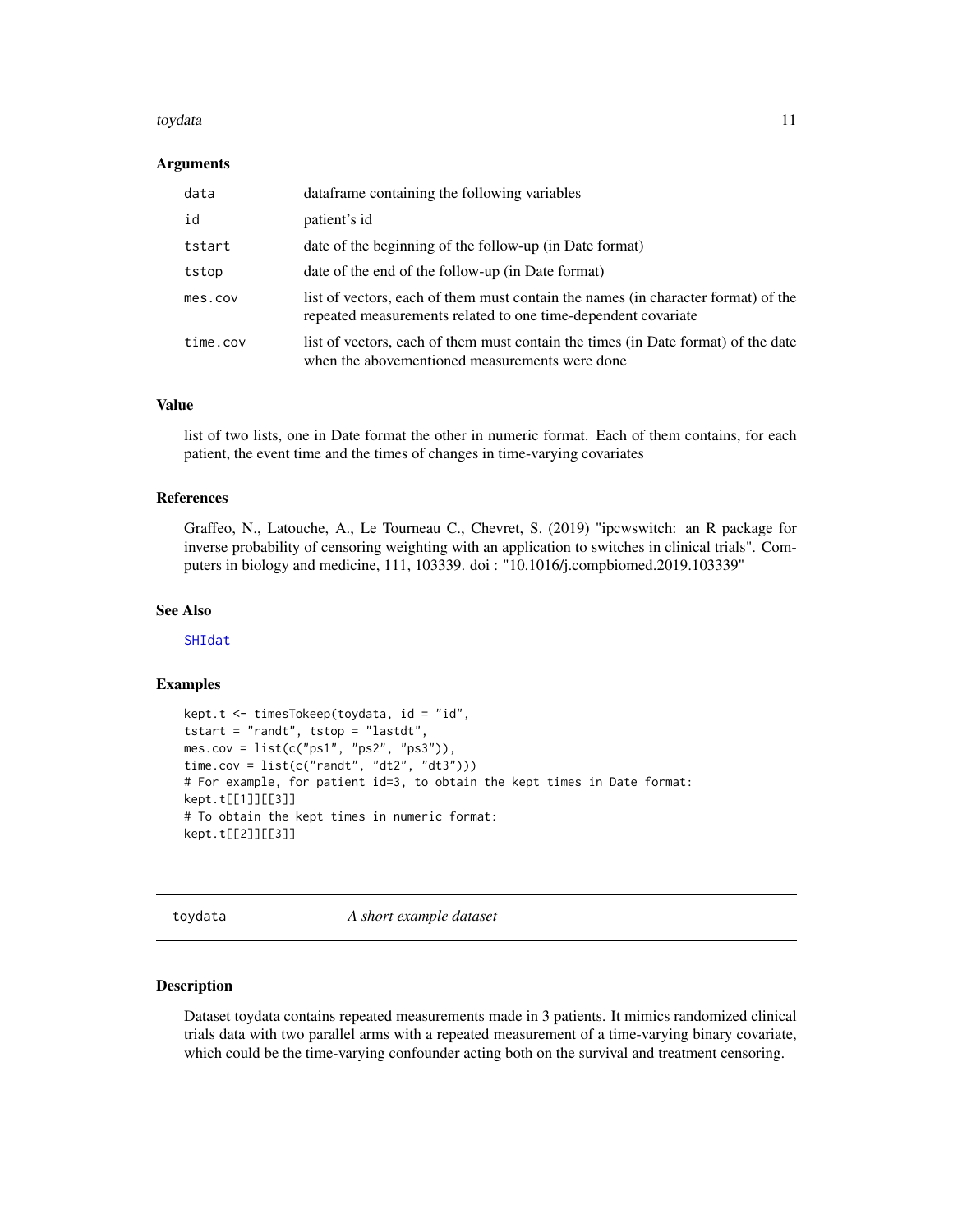#### <span id="page-10-0"></span>toydata the control of the control of the control of the control of the control of the control of the control of the control of the control of the control of the control of the control of the control of the control of the

#### Arguments

| data     | data frame containing the following variables                                                                                                      |
|----------|----------------------------------------------------------------------------------------------------------------------------------------------------|
| id       | patient's id                                                                                                                                       |
| tstart   | date of the beginning of the follow-up (in Date format)                                                                                            |
| tstop    | date of the end of the follow-up (in Date format)                                                                                                  |
| mes.cov  | list of vectors, each of them must contain the names (in character format) of the<br>repeated measurements related to one time-dependent covariate |
| time.cov | list of vectors, each of them must contain the times (in Date format) of the date<br>when the abovementioned measurements were done                |

#### Value

list of two lists, one in Date format the other in numeric format. Each of them contains, for each patient, the event time and the times of changes in time-varying covariates

#### References

Graffeo, N., Latouche, A., Le Tourneau C., Chevret, S. (2019) "ipcwswitch: an R package for inverse probability of censoring weighting with an application to switches in clinical trials". Computers in biology and medicine, 111, 103339. doi : "10.1016/j.compbiomed.2019.103339"

#### See Also

[SHIdat](#page-6-1)

#### Examples

```
kept.t \le timesTokeep(toydata, id = "id",
tstart = "randt", tstop = "lastdt",
mes.cov = list(c("ps1", "ps2", "ps3")),
time.cov = list(c("randt", "dt2", "dt3")))
# For example, for patient id=3, to obtain the kept times in Date format:
kept.t[[1]][[3]]
# To obtain the kept times in numeric format:
kept.t[[2]][[3]]
```
toydata *A short example dataset*

#### Description

Dataset toydata contains repeated measurements made in 3 patients. It mimics randomized clinical trials data with two parallel arms with a repeated measurement of a time-varying binary covariate, which could be the time-varying confounder acting both on the survival and treatment censoring.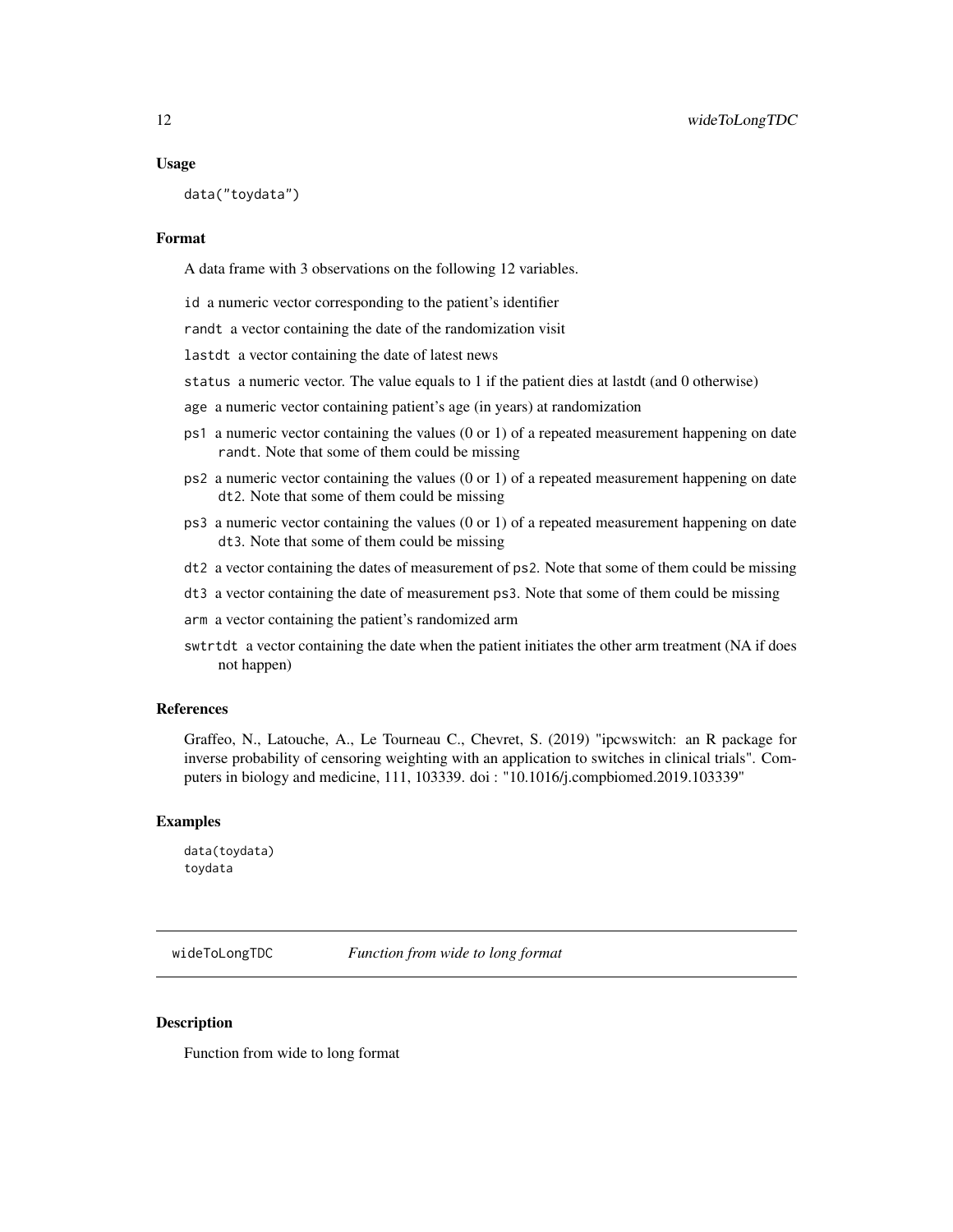#### <span id="page-11-0"></span>Usage

data("toydata")

#### Format

A data frame with 3 observations on the following 12 variables.

id a numeric vector corresponding to the patient's identifier

randt a vector containing the date of the randomization visit

lastdt a vector containing the date of latest news

- status a numeric vector. The value equals to 1 if the patient dies at lastdt (and 0 otherwise)
- age a numeric vector containing patient's age (in years) at randomization
- ps1 a numeric vector containing the values (0 or 1) of a repeated measurement happening on date randt. Note that some of them could be missing
- ps2 a numeric vector containing the values (0 or 1) of a repeated measurement happening on date dt2. Note that some of them could be missing
- ps3 a numeric vector containing the values (0 or 1) of a repeated measurement happening on date dt3. Note that some of them could be missing
- dt2 a vector containing the dates of measurement of ps2. Note that some of them could be missing
- dt3 a vector containing the date of measurement ps3. Note that some of them could be missing
- arm a vector containing the patient's randomized arm
- swtrtdt a vector containing the date when the patient initiates the other arm treatment (NA if does not happen)

#### References

Graffeo, N., Latouche, A., Le Tourneau C., Chevret, S. (2019) "ipcwswitch: an R package for inverse probability of censoring weighting with an application to switches in clinical trials". Computers in biology and medicine, 111, 103339. doi : "10.1016/j.compbiomed.2019.103339"

#### Examples

data(toydata) toydata

<span id="page-11-1"></span>wideToLongTDC *Function from wide to long format*

#### **Description**

Function from wide to long format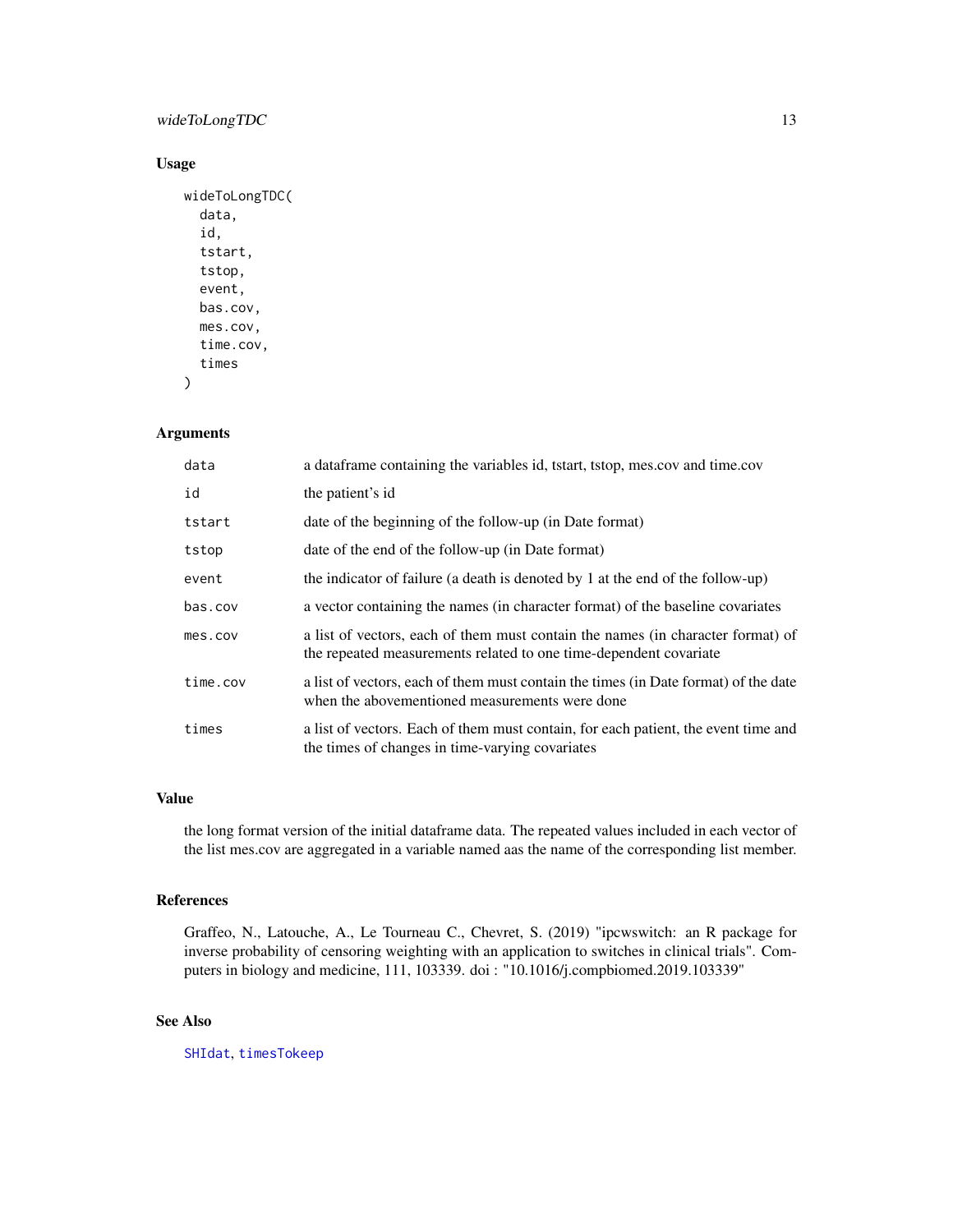#### <span id="page-12-0"></span>wideToLongTDC 13

#### Usage

```
wideToLongTDC(
  data,
  id,
  tstart,
  tstop,
  event,
  bas.cov,
  mes.cov,
  time.cov,
  times
```
 $\mathcal{L}$ 

#### Arguments

| data     | a dataframe containing the variables id, tstart, tstop, mes.cov and time.cov                                                                         |
|----------|------------------------------------------------------------------------------------------------------------------------------------------------------|
| id       | the patient's id                                                                                                                                     |
| tstart   | date of the beginning of the follow-up (in Date format)                                                                                              |
| tstop    | date of the end of the follow-up (in Date format)                                                                                                    |
| event    | the indicator of failure (a death is denoted by 1 at the end of the follow-up)                                                                       |
| bas.cov  | a vector containing the names (in character format) of the baseline covariates                                                                       |
| mes.cov  | a list of vectors, each of them must contain the names (in character format) of<br>the repeated measurements related to one time-dependent covariate |
| time.cov | a list of vectors, each of them must contain the times (in Date format) of the date<br>when the abovementioned measurements were done                |
| times    | a list of vectors. Each of them must contain, for each patient, the event time and<br>the times of changes in time-varying covariates                |

#### Value

the long format version of the initial dataframe data. The repeated values included in each vector of the list mes.cov are aggregated in a variable named aas the name of the corresponding list member.

#### References

Graffeo, N., Latouche, A., Le Tourneau C., Chevret, S. (2019) "ipcwswitch: an R package for inverse probability of censoring weighting with an application to switches in clinical trials". Computers in biology and medicine, 111, 103339. doi : "10.1016/j.compbiomed.2019.103339"

#### See Also

[SHIdat](#page-6-1), [timesTokeep](#page-9-1)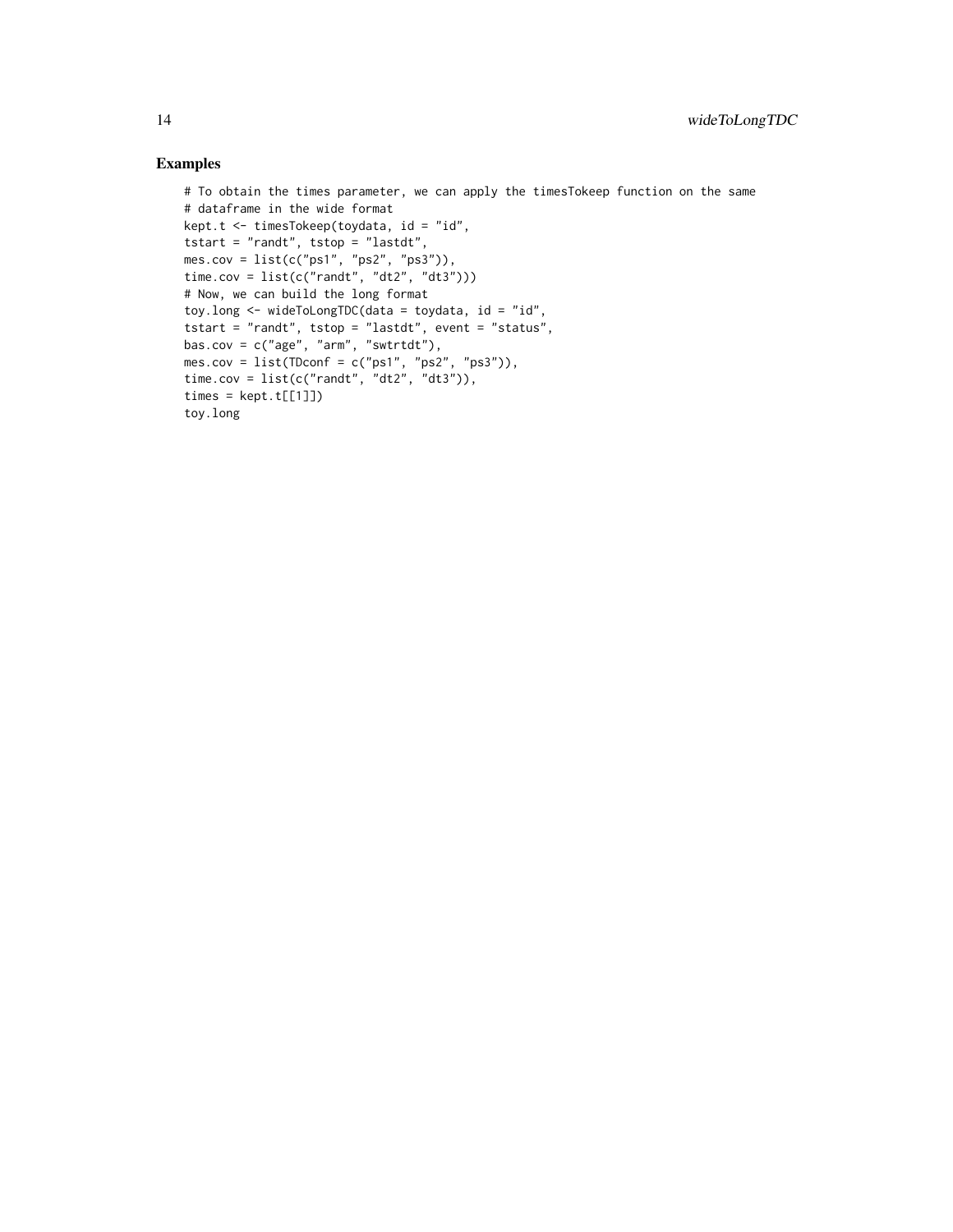```
# To obtain the times parameter, we can apply the timesTokeep function on the same
# dataframe in the wide format
kept.t \le timesTokeep(toydata, id = "id",
tstart = "randt", tstop = "lastdt",
mes.cov = list(c("ps1", "ps2", "ps3")),
time.cov = list(c("randt", "dt2", "dt3")))
# Now, we can build the long format
toy.long <- wideToLongTDC(data = toydata, id = "id",
tstart = "randt", tstop = "lastdt", event = "status",
bas.cov = c("age", "arm", "switch"),
mes.cov = list(TDconf = c("ps1", "ps2", "ps3")),
time.cov = list(c("randt", "dt2", "dt3")),
times = kept.t[[1]]toy.long
```